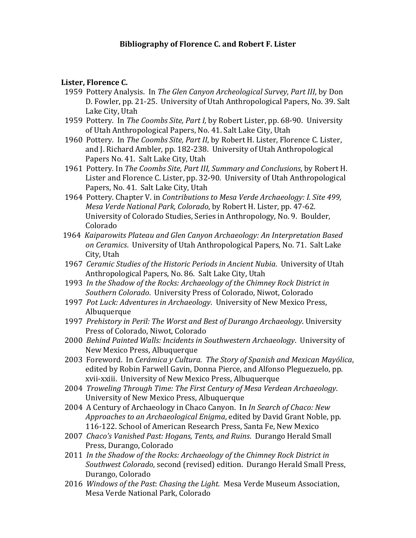### **Bibliography of Florence C. and Robert F. Lister**

#### **Lister, Florence C.**

- 1959 Pottery Analysis. In *The Glen Canyon Archeological Survey, Part III*, by Don D. Fowler, pp. 21-25. University of Utah Anthropological Papers, No. 39. Salt Lake City, Utah
- 1959 Pottery. In *The Coombs Site, Part I,* by Robert Lister, pp. 68-90. University of Utah Anthropological Papers, No. 41. Salt Lake City, Utah
- 1960 Pottery. In *The Coombs Site, Part II*, by Robert H. Lister, Florence C. Lister, and J. Richard Ambler, pp. 182-238. University of Utah Anthropological Papers No. 41. Salt Lake City, Utah
- 1961 Pottery. In *The Coombs Site, Part III, Summary and Conclusions*, by Robert H. Lister and Florence C. Lister, pp. 32-90. University of Utah Anthropological Papers, No. 41. Salt Lake City, Utah
- 1964 Pottery. Chapter V. in *Contributions to Mesa Verde Archaeology: I. Site 499, Mesa Verde National Park, Colorado*, by Robert H. Lister, pp. 47-62. University of Colorado Studies, Series in Anthropology, No. 9. Boulder, Colorado
- 1964 *Kaiparowits Plateau and Glen Canyon Archaeology: An Interpretation Based on Ceramics*. University of Utah Anthropological Papers, No. 71. Salt Lake City, Utah
- 1967 *Ceramic Studies of the Historic Periods in Ancient Nubia*. University of Utah Anthropological Papers, No. 86. Salt Lake City, Utah
- 1993 *In the Shadow of the Rocks: Archaeology of the Chimney Rock District in Southern Colorado*. University Press of Colorado, Niwot, Colorado
- 1997 *Pot Luck: Adventures in Archaeology*. University of New Mexico Press, Albuquerque
- 1997 *Prehistory in Peril: The Worst and Best of Durango Archaeology*. University Press of Colorado, Niwot, Colorado
- 2000 *Behind Painted Walls: Incidents in Southwestern Archaeology*. University of New Mexico Press, Albuquerque
- 2003 Foreword. In *Cerámica y Cultura. The Story of Spanish and Mexican Mayólica*, edited by Robin Farwell Gavin, Donna Pierce, and Alfonso Pleguezuelo, pp. xvii-xxiii. University of New Mexico Press, Albuquerque
- 2004 *Troweling Through Time: The First Century of Mesa Verdean Archaeology*. University of New Mexico Press, Albuquerque
- 2004 A Century of Archaeology in Chaco Canyon. In *In Search of Chaco: New Approaches to an Archaeological Enigma*, edited by David Grant Noble, pp. 116-122. School of American Research Press, Santa Fe, New Mexico
- 2007 *Chaco's Vanished Past: Hogans, Tents, and Ruins*. Durango Herald Small Press, Durango, Colorado
- 2011 *In the Shadow of the Rocks: Archaeology of the Chimney Rock District in Southwest Colorado*, second (revised) edition. Durango Herald Small Press, Durango, Colorado
- 2016 *Windows of the Past*: *Chasing the Light.* Mesa Verde Museum Association, Mesa Verde National Park, Colorado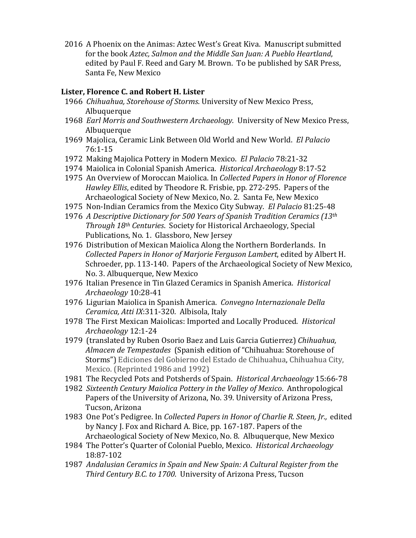2016 A Phoenix on the Animas: Aztec West's Great Kiva. Manuscript submitted for the book *Aztec, Salmon and the Middle San Juan: A Pueblo Heartland*, edited by Paul F. Reed and Gary M. Brown. To be published by SAR Press, Santa Fe, New Mexico

# **Lister, Florence C. and Robert H. Lister**

- 1966 *Chihuahua, Storehouse of Storms*. University of New Mexico Press, Albuquerque
- 1968 *Earl Morris and Southwestern Archaeology.* University of New Mexico Press, Albuquerque
- 1969 Majolica, Ceramic Link Between Old World and New World. *El Palacio* 76:1-15
- 1972 Making Majolica Pottery in Modern Mexico. *El Palacio* 78:21-32
- 1974 Maiolica in Colonial Spanish America. *Historical Archaeology* 8:17-52
- 1975 An Overview of Moroccan Maiolica. In *Collected Papers in Honor of Florence Hawley Ellis*, edited by Theodore R. Frisbie, pp. 272-295. Papers of the Archaeological Society of New Mexico, No. 2. Santa Fe, New Mexico
- 1975 Non-Indian Ceramics from the Mexico City Subway. *El Palacio* 81:25-48
- 1976 *A Descriptive Dictionary for 500 Years of Spanish Tradition Ceramics (13th Through 18th Centuries*. Society for Historical Archaeology, Special Publications, No. 1. Glassboro, New Jersey
- 1976 Distribution of Mexican Maiolica Along the Northern Borderlands. In *Collected Papers in Honor of Marjorie Ferguson Lambert*, edited by Albert H. Schroeder, pp. 113-140. Papers of the Archaeological Society of New Mexico, No. 3. Albuquerque, New Mexico
- 1976 Italian Presence in Tin Glazed Ceramics in Spanish America. *Historical Archaeology* 10:28-41
- 1976 Ligurian Maiolica in Spanish America. *Convegno Internazionale Della Ceramica, Atti IX*:311-320. Albisola, Italy
- 1978 The First Mexican Maiolicas: Imported and Locally Produced. *Historical Archaeology* 12:1-24
- 1979 (translated by Ruben Osorio Baez and Luis Garcia Gutierrez) *Chihuahua, Almacen de Tempestades* (Spanish edition of "Chihuahua: Storehouse of Storms") Ediciones del Gobierno del Estado de Chihuahua, Chihuahua City, Mexico. (Reprinted 1986 and 1992)
- 1981 The Recycled Pots and Potsherds of Spain. *Historical Archaeology* 15:66-78
- 1982 *Sixteenth Century Maiolica Pottery in the Valley of Mexico*. Anthropological Papers of the University of Arizona, No. 39. University of Arizona Press, Tucson, Arizona
- 1983 One Pot's Pedigree. In *Collected Papers in Honor of Charlie R. Steen, Jr.,* edited by Nancy J. Fox and Richard A. Bice, pp. 167-187. Papers of the Archaeological Society of New Mexico, No. 8. Albuquerque, New Mexico
- 1984 The Potter's Quarter of Colonial Pueblo, Mexico. *Historical Archaeology* 18:87-102
- 1987 *Andalusian Ceramics in Spain and New Spain: A Cultural Register from the Third Century B.C. to 1700*. University of Arizona Press, Tucson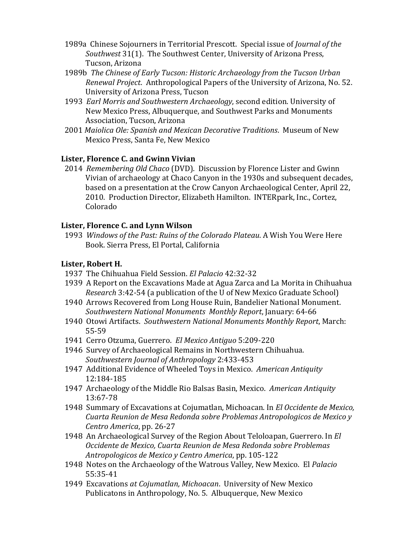- 1989a Chinese Sojourners in Territorial Prescott. Special issue of *Journal of the Southwest* 31(1). The Southwest Center, University of Arizona Press, Tucson, Arizona
- 1989b *The Chinese of Early Tucson: Historic Archaeology from the Tucson Urban Renewal Project*. Anthropological Papers of the University of Arizona, No. 52. University of Arizona Press, Tucson
- 1993 *Earl Morris and Southwestern Archaeology*, second edition. University of New Mexico Press, Albuquerque, and Southwest Parks and Monuments Association, Tucson, Arizona
- 2001 *Maiolica Ole: Spanish and Mexican Decorative Traditions*. Museum of New Mexico Press, Santa Fe, New Mexico

# **Lister, Florence C. and Gwinn Vivian**

 2014 *Remembering Old Chaco* (DVD). Discussion by Florence Lister and Gwinn Vivian of archaeology at Chaco Canyon in the 1930s and subsequent decades, based on a presentation at the Crow Canyon Archaeological Center, April 22, 2010. Production Director, Elizabeth Hamilton. INTERpark, Inc., Cortez, Colorado

# **Lister, Florence C. and Lynn Wilson**

 1993 *Windows of the Past: Ruins of the Colorado Plateau*. A Wish You Were Here Book. Sierra Press, El Portal, California

# **Lister, Robert H.**

- 1937 The Chihuahua Field Session. *El Palacio* 42:32-32
- 1939 A Report on the Excavations Made at Agua Zarca and La Morita in Chihuahua *Research* 3:42-54 (a publication of the U of New Mexico Graduate School)
- 1940 Arrows Recovered from Long House Ruin, Bandelier National Monument. *Southwestern National Monuments Monthly Report*, January: 64-66
- 1940 Otowi Artifacts. *Southwestern National Monuments Monthly Report*, March: 55-59
- 1941 Cerro Otzuma, Guerrero. *El Mexico Antiguo* 5:209-220
- 1946 Survey of Archaeological Remains in Northwestern Chihuahua. *Southwestern Journal of Anthropology* 2:433-453
- 1947 Additional Evidence of Wheeled Toys in Mexico. *American Antiquity* 12:184-185
- 1947 Archaeology of the Middle Rio Balsas Basin, Mexico. *American Antiquity* 13:67-78
- 1948 Summary of Excavations at Cojumatlan, Michoacan. In *El Occidente de Mexico, Cuarta Reunion de Mesa Redonda sobre Problemas Antropologicos de Mexico y Centro America*, pp. 26-27
- 1948 An Archaeological Survey of the Region About Teloloapan, Guerrero. In *El Occidente de Mexico, Cuarta Reunion de Mesa Redonda sobre Problemas Antropologicos de Mexico y Centro America*, pp. 105-122
- 1948 Notes on the Archaeology of the Watrous Valley, New Mexico. El *Palacio* 55:35-41
- 1949 Excavations *at Cojumatlan, Michoacan*. University of New Mexico Publicatons in Anthropology, No. 5. Albuquerque, New Mexico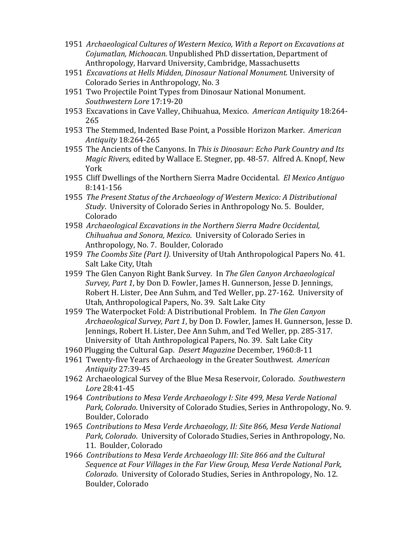- 1951 *Archaeological Cultures of Western Mexico, With a Report on Excavations at Cojumatlan, Michoacan*. Unpublished PhD dissertation, Department of Anthropology, Harvard University, Cambridge, Massachusetts
- 1951 *Excavations at Hells Midden, Dinosaur National Monument.* University of Colorado Series in Anthropology, No. 3
- 1951 Two Projectile Point Types from Dinosaur National Monument. *Southwestern Lore* 17:19-20
- 1953 Excavations in Cave Valley, Chihuahua, Mexico. *American Antiquity* 18:264- 265
- 1953 The Stemmed, Indented Base Point, a Possible Horizon Marker. *American Antiquity* 18:264-265
- 1955 The Ancients of the Canyons. In *This is Dinosaur: Echo Park Country and Its Magic Rivers,* edited by Wallace E. Stegner, pp. 48-57. Alfred A. Knopf, New York
- 1955 Cliff Dwellings of the Northern Sierra Madre Occidental. *El Mexico Antiguo* 8:141-156
- 1955 *The Present Status of the Archaeology of Western Mexico: A Distributional Study*. University of Colorado Series in Anthropology No. 5. Boulder, Colorado
- 1958 *Archaeological Excavations in the Northern Sierra Madre Occidental, Chihuahua and Sonora, Mexico*. University of Colorado Series in Anthropology, No. 7. Boulder, Colorado
- 1959 *The Coombs Site (Part I).* University of Utah Anthropological Papers No. 41. Salt Lake City, Utah
- 1959 The Glen Canyon Right Bank Survey. In *The Glen Canyon Archaeological Survey, Part 1*, by Don D. Fowler, James H. Gunnerson, Jesse D. Jennings, Robert H. Lister, Dee Ann Suhm, and Ted Weller, pp. 27-162. University of Utah, Anthropological Papers, No. 39. Salt Lake City
- 1959 The Waterpocket Fold: A Distributional Problem. In *The Glen Canyon Archaeological Survey, Part 1*, by Don D. Fowler, James H. Gunnerson, Jesse D. Jennings, Robert H. Lister, Dee Ann Suhm, and Ted Weller, pp. 285-317. University of Utah Anthropological Papers, No. 39. Salt Lake City
- 1960 Plugging the Cultural Gap. *Desert Magazine* December, 1960:8-11
- 1961 Twenty-five Years of Archaeology in the Greater Southwest. *American Antiquity* 27:39-45
- 1962 Archaeological Survey of the Blue Mesa Reservoir, Colorado. *Southwestern Lore* 28:41-45
- 1964 *Contributions to Mesa Verde Archaeology I: Site 499, Mesa Verde National Park, Colorado*. University of Colorado Studies, Series in Anthropology, No. 9. Boulder, Colorado
- 1965 *Contributions to Mesa Verde Archaeology, II: Site 866, Mesa Verde National Park, Colorado*. University of Colorado Studies, Series in Anthropology, No. 11. Boulder, Colorado
- 1966 *Contributions to Mesa Verde Archaeology III: Site 866 and the Cultural Sequence at Four Villages in the Far View Group, Mesa Verde National Park, Colorado*. University of Colorado Studies, Series in Anthropology, No. 12. Boulder, Colorado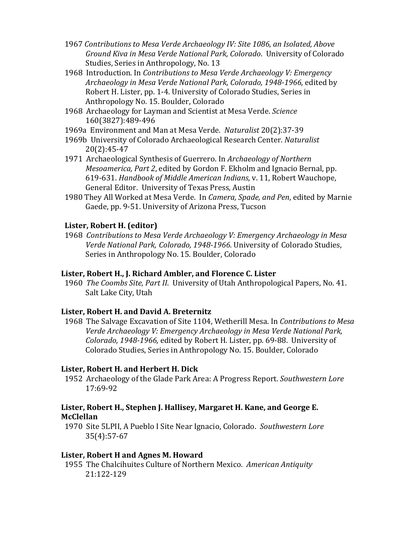- 1967 *Contributions to Mesa Verde Archaeology IV: Site 1086, an Isolated, Above Ground Kiva in Mesa Verde National Park, Colorado*. University of Colorado Studies, Series in Anthropology, No. 13
- 1968 Introduction. In *Contributions to Mesa Verde Archaeology V: Emergency Archaeology in Mesa Verde National Park, Colorado, 1948-1966,* edited by Robert H. Lister, pp. 1-4. University of Colorado Studies, Series in Anthropology No. 15. Boulder, Colorado
- 1968 Archaeology for Layman and Scientist at Mesa Verde. *Science* 160(3827):489-496
- 1969a Environment and Man at Mesa Verde. *Naturalist* 20(2):37-39
- 1969b University of Colorado Archaeological Research Center. *Naturalist* 20(2):45-47
- 1971 Archaeological Synthesis of Guerrero. In *Archaeology of Northern Mesoamerica, Part 2*, edited by Gordon F. Ekholm and Ignacio Bernal, pp. 619-631. *Handbook of Middle American Indians*, v. 11, Robert Wauchope, General Editor. University of Texas Press, Austin
- 1980 They All Worked at Mesa Verde. In *Camera, Spade, and Pen*, edited by Marnie Gaede, pp. 9-51. University of Arizona Press, Tucson

### **Lister, Robert H. (editor)**

 1968 *Contributions to Mesa Verde Archaeology V: Emergency Archaeology in Mesa Verde National Park, Colorado, 1948-1966.* University of Colorado Studies, Series in Anthropology No. 15. Boulder, Colorado

#### **Lister, Robert H., J. Richard Ambler, and Florence C. Lister**

 1960 *The Coombs Site, Part II*. University of Utah Anthropological Papers, No. 41. Salt Lake City, Utah

### **Lister, Robert H. and David A. Breternitz**

 1968 The Salvage Excavation of Site 1104, Wetherill Mesa. In *Contributions to Mesa Verde Archaeology V: Emergency Archaeology in Mesa Verde National Park, Colorado, 1948-1966,* edited by Robert H. Lister, pp. 69-88. University of Colorado Studies, Series in Anthropology No. 15. Boulder, Colorado

#### **Lister, Robert H. and Herbert H. Dick**

 1952 Archaeology of the Glade Park Area: A Progress Report. *Southwestern Lore* 17:69-92

### **Lister, Robert H., Stephen J. Hallisey, Margaret H. Kane, and George E. McClellan**

 1970 Site 5LPII, A Pueblo I Site Near Ignacio, Colorado. *Southwestern Lore* 35(4):57-67

#### **Lister, Robert H and Agnes M. Howard**

 1955 The Chalcihuites Culture of Northern Mexico. *American Antiquity* 21:122-129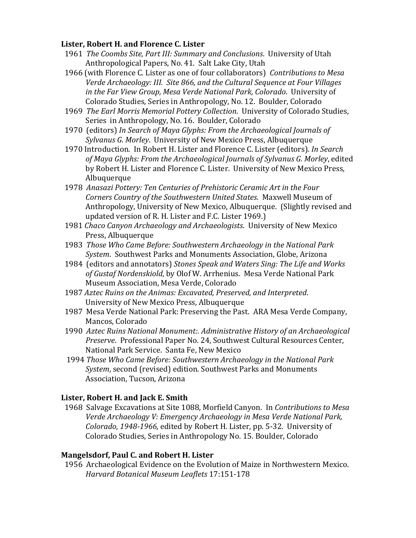### **Lister, Robert H. and Florence C. Lister**

- 1961 *The Coombs Site, Part III: Summary and Conclusions*. University of Utah Anthropological Papers, No. 41. Salt Lake City, Utah
- 1966 (with Florence C. Lister as one of four collaborators) *Contributions to Mesa Verde Archaeology: III. Site 866, and the Cultural Sequence at Four Villages in the Far View Group, Mesa Verde National Park, Colorado*. University of Colorado Studies, Series in Anthropology, No. 12. Boulder, Colorado
- 1969 *The Earl Morris Memorial Pottery Collection*. University of Colorado Studies, Series in Anthropology, No. 16. Boulder, Colorado
- 1970 (editors) *In Search of Maya Glyphs: From the Archaeological Journals of Sylvanus G. Morley*. University of New Mexico Press, Albuquerque
- 1970 Introduction. In Robert H. Lister and Florence C. Lister (editors). *In Search of Maya Glyphs: From the Archaeological Journals of Sylvanus G. Morley*, edited by Robert H. Lister and Florence C. Lister. University of New Mexico Press, Albuquerque
- 1978 *Anasazi Pottery: Ten Centuries of Prehistoric Ceramic Art in the Four Corners Country of the Southwestern United States*. Maxwell Museum of Anthropology, University of New Mexico, Albuquerque. (Slightly revised and updated version of R. H. Lister and F.C. Lister 1969.)
- 1981 *Chaco Canyon Archaeology and Archaeologists*. University of New Mexico Press, Albuquerque
- 1983 *Those Who Came Before: Southwestern Archaeology in the National Park System*. Southwest Parks and Monuments Association, Globe, Arizona
- 1984 (editors and annotators) *Stones Speak and Waters Sing: The Life and Works of Gustaf Nordenskiold*, by Olof W. Arrhenius. Mesa Verde National Park Museum Association, Mesa Verde, Colorado
- 1987 *Aztec Ruins on the Animas: Excavated, Preserved, and Interpreted*. University of New Mexico Press, Albuquerque
- 1987 Mesa Verde National Park: Preserving the Past. ARA Mesa Verde Company, Mancos, Colorado
- 1990 *Aztec Ruins National Monument:. Administrative History of an Archaeological Preserve*. Professional Paper No. 24, Southwest Cultural Resources Center, National Park Service. Santa Fe, New Mexico
- 1994 *Those Who Came Before: Southwestern Archaeology in the National Park System*, second (revised) edition. Southwest Parks and Monuments Association, Tucson, Arizona

### **Lister, Robert H. and Jack E. Smith**

 1968 Salvage Excavations at Site 1088, Morfield Canyon. In *Contributions to Mesa Verde Archaeology V: Emergency Archaeology in Mesa Verde National Park, Colorado, 1948-1966,* edited by Robert H. Lister, pp. 5-32. University of Colorado Studies, Series in Anthropology No. 15. Boulder, Colorado

#### **Mangelsdorf, Paul C. and Robert H. Lister**

 1956 Archaeological Evidence on the Evolution of Maize in Northwestern Mexico. *Harvard Botanical Museum Leaflets* 17:151-178